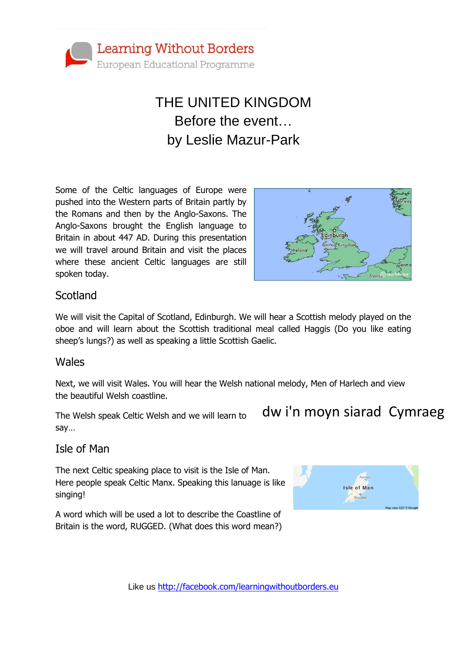

# THE UNITED KINGDOM Before the event… by Leslie Mazur-Park

Some of the Celtic languages of Europe were pushed into the Western parts of Britain partly by the Romans and then by the Anglo-Saxons. The Anglo-Saxons brought the English language to Britain in about 447 AD. During this presentation we will travel around Britain and visit the places where these ancient Celtic languages are still spoken today.



### **Scotland**

We will visit the Capital of Scotland, Edinburgh. We will hear a Scottish melody played on the oboe and will learn about the Scottish traditional meal called Haggis (Do you like eating sheep's lungs?) as well as speaking a little Scottish Gaelic.

#### Wales

Next, we will visit Wales. You will hear the Welsh national melody, Men of Harlech and view the beautiful Welsh coastline.

The Welsh speak Celtic Welsh and we will learn to say…

## dw i'n moyn siarad Cymraeg

### Isle of Man

The next Celtic speaking place to visit is the Isle of Man. Here people speak Celtic Manx. Speaking this lanuage is like singing!

A word which will be used a lot to describe the Coastline of Britain is the word, RUGGED. (What does this word mean?)

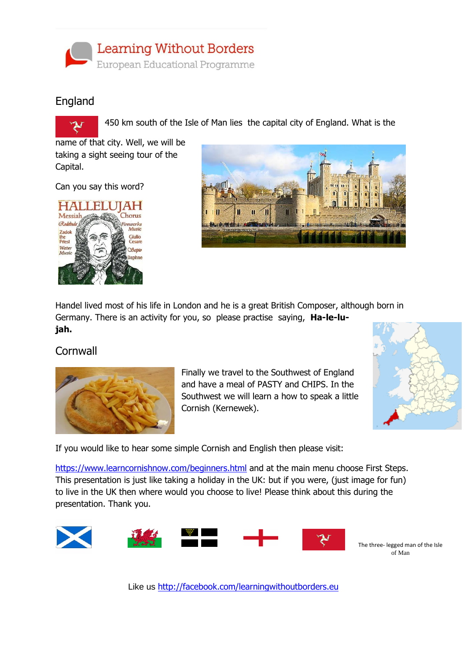

### England



450 km south of the Isle of Man lies the capital city of England. What is the

name of that city. Well, we will be taking a sight seeing tour of the Capital.

Can you say this word?





Handel lived most of his life in London and he is a great British Composer, although born in Germany. There is an activity for you, so please practise saying, **Ha-le-lujah.**

#### **Cornwall**



Finally we travel to the Southwest of England and have a meal of PASTY and CHIPS. In the Southwest we will learn a how to speak a little Cornish (Kernewek).



If you would like to hear some simple Cornish and English then please visit:

<https://www.learncornishnow.com/beginners.html> and at the main menu choose First Steps. This presentation is just like taking a holiday in the UK: but if you were, (just image for fun) to live in the UK then where would you choose to live! Please think about this during the presentation. Thank you.



The three- legged man of the Isle of Man

Like us <http://facebook.com/learningwithoutborders.eu>